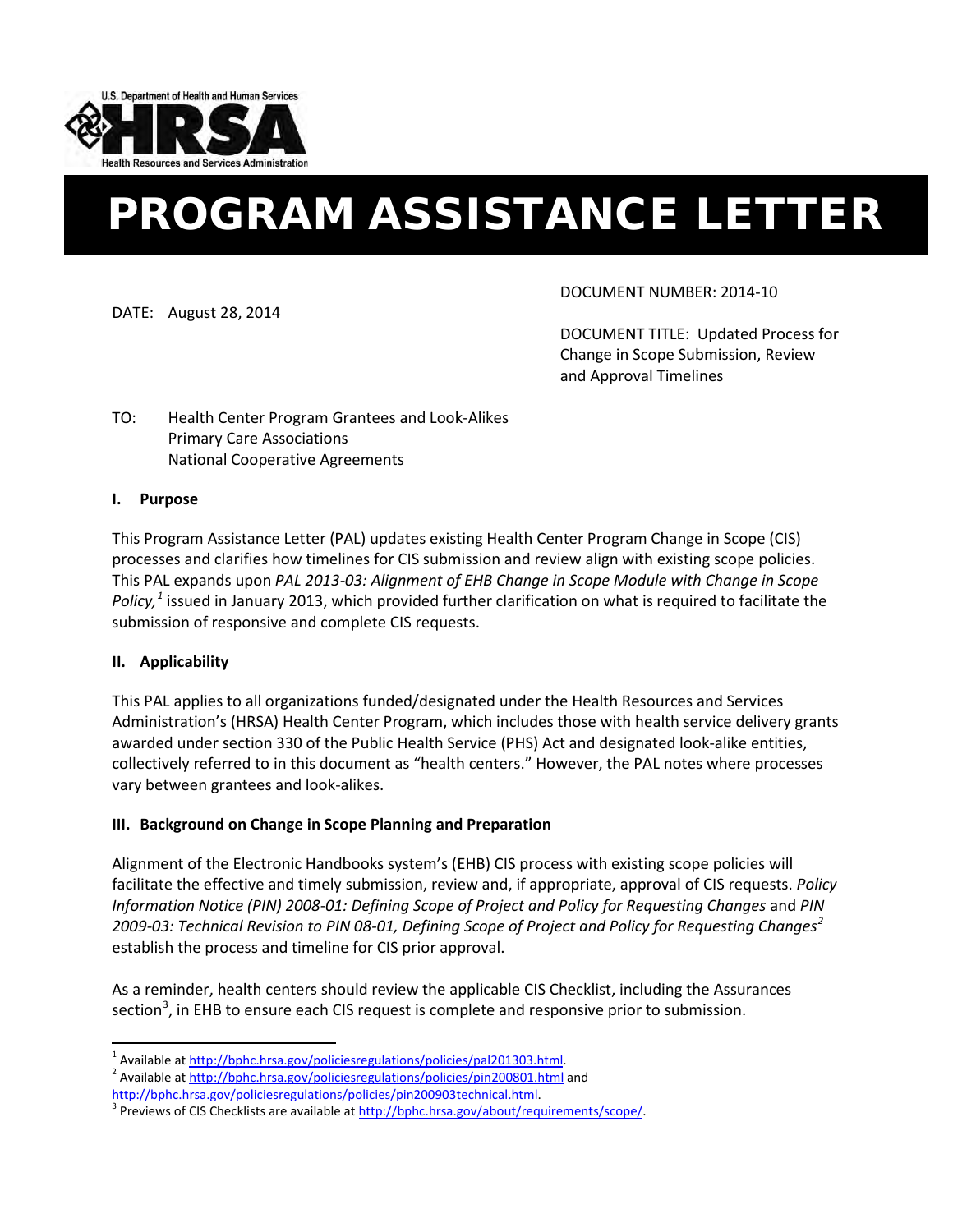

# PROGRAM ASSISTANCE LETTER

DATE: August 28, 2014

DOCUMENT NUMBER: 2014-10

DOCUMENT TITLE: Updated Process for Change in Scope Submission, Review and Approval Timelines

# TO: Health Center Program Grantees and Look-Alikes Primary Care Associations National Cooperative Agreements

## **I. Purpose**

This Program Assistance Letter (PAL) updates existing Health Center Program Change in Scope (CIS) processes and clarifies how timelines for CIS submission and review align with existing scope policies. This PAL expands upon *PAL 2013-03: Alignment of EHB Change in Scope Module with Change in Scope Policy, [1](#page-0-0)* issued in January 2013, which provided further clarification on what is required to facilitate the submission of responsive and complete CIS requests.

#### **II. Applicability**

This PAL applies to all organizations funded/designated under the Health Resources and Services Administration's (HRSA) Health Center Program, which includes those with health service delivery grants awarded under section 330 of the Public Health Service (PHS) Act and designated look-alike entities, collectively referred to in this document as "health centers." However, the PAL notes where processes vary between grantees and look-alikes.

#### **III. Background on Change in Scope Planning and Preparation**

Alignment of the Electronic Handbooks system's (EHB) CIS process with existing scope policies will facilitate the effective and timely submission, review and, if appropriate, approval of CIS requests. *Policy Information Notice (PIN) 2008-01: Defining Scope of Project and Policy for Requesting Changes* and *PIN 2009-03: Technical Revision to PIN 08-01, Defining Scope of Project and Policy for Requesting Changes[2](#page-0-1)* establish the process and timeline for CIS prior approval.

As a reminder, health centers should review the applicable CIS Checklist, including the Assurances section<sup>[3](#page-0-2)</sup>, in EHB to ensure each CIS request is complete and responsive prior to submission.

<span id="page-0-1"></span><span id="page-0-0"></span><sup>&</sup>lt;sup>1</sup> Available at [http://bphc.hrsa.gov/policiesregulations/policies/pal201303.html.](http://bphc.hrsa.gov/policiesregulations/policies/pal201303.html)<br><sup>2</sup> Available at<http://bphc.hrsa.gov/policiesregulations/policies/pin200801.html> and http://bphc.hrsa.gov/policiesregulations/policies/pi

<span id="page-0-2"></span> $3$  Previews of CIS Checklists are available a[t http://bphc.hrsa.gov/about/requirements/scope/.](http://bphc.hrsa.gov/about/requirements/scope/)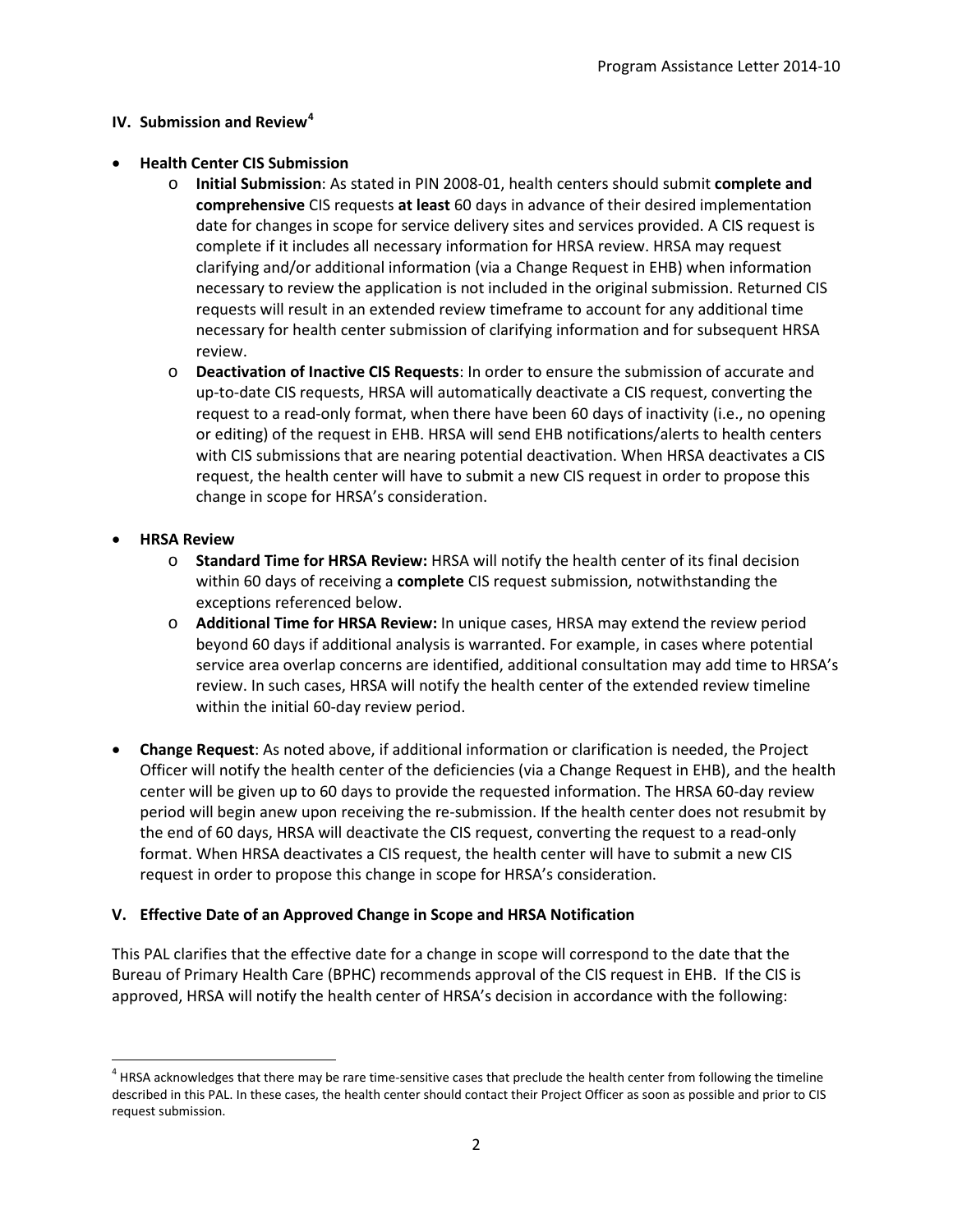## **IV. Submission and Review[4](#page-1-0)**

## • **Health Center CIS Submission**

- o **Initial Submission**: As stated in PIN 2008-01, health centers should submit **complete and comprehensive** CIS requests **at least** 60 days in advance of their desired implementation date for changes in scope for service delivery sites and services provided. A CIS request is complete if it includes all necessary information for HRSA review. HRSA may request clarifying and/or additional information (via a Change Request in EHB) when information necessary to review the application is not included in the original submission. Returned CIS requests will result in an extended review timeframe to account for any additional time necessary for health center submission of clarifying information and for subsequent HRSA review.
- o **Deactivation of Inactive CIS Requests**: In order to ensure the submission of accurate and up-to-date CIS requests, HRSA will automatically deactivate a CIS request, converting the request to a read-only format, when there have been 60 days of inactivity (i.e., no opening or editing) of the request in EHB. HRSA will send EHB notifications/alerts to health centers with CIS submissions that are nearing potential deactivation. When HRSA deactivates a CIS request, the health center will have to submit a new CIS request in order to propose this change in scope for HRSA's consideration.

## • **HRSA Review**

 $\overline{\phantom{a}}$ 

- o **Standard Time for HRSA Review:** HRSA will notify the health center of its final decision within 60 days of receiving a **complete** CIS request submission, notwithstanding the exceptions referenced below.
- o **Additional Time for HRSA Review:** In unique cases, HRSA may extend the review period beyond 60 days if additional analysis is warranted. For example, in cases where potential service area overlap concerns are identified, additional consultation may add time to HRSA's review. In such cases, HRSA will notify the health center of the extended review timeline within the initial 60-day review period.
- **Change Request**: As noted above, if additional information or clarification is needed, the Project Officer will notify the health center of the deficiencies (via a Change Request in EHB), and the health center will be given up to 60 days to provide the requested information. The HRSA 60-day review period will begin anew upon receiving the re-submission. If the health center does not resubmit by the end of 60 days, HRSA will deactivate the CIS request, converting the request to a read-only format. When HRSA deactivates a CIS request, the health center will have to submit a new CIS request in order to propose this change in scope for HRSA's consideration.

# **V. Effective Date of an Approved Change in Scope and HRSA Notification**

This PAL clarifies that the effective date for a change in scope will correspond to the date that the Bureau of Primary Health Care (BPHC) recommends approval of the CIS request in EHB. If the CIS is approved, HRSA will notify the health center of HRSA's decision in accordance with the following:

<span id="page-1-0"></span><sup>&</sup>lt;sup>4</sup> HRSA acknowledges that there may be rare time-sensitive cases that preclude the health center from following the timeline described in this PAL. In these cases, the health center should contact their Project Officer as soon as possible and prior to CIS request submission.